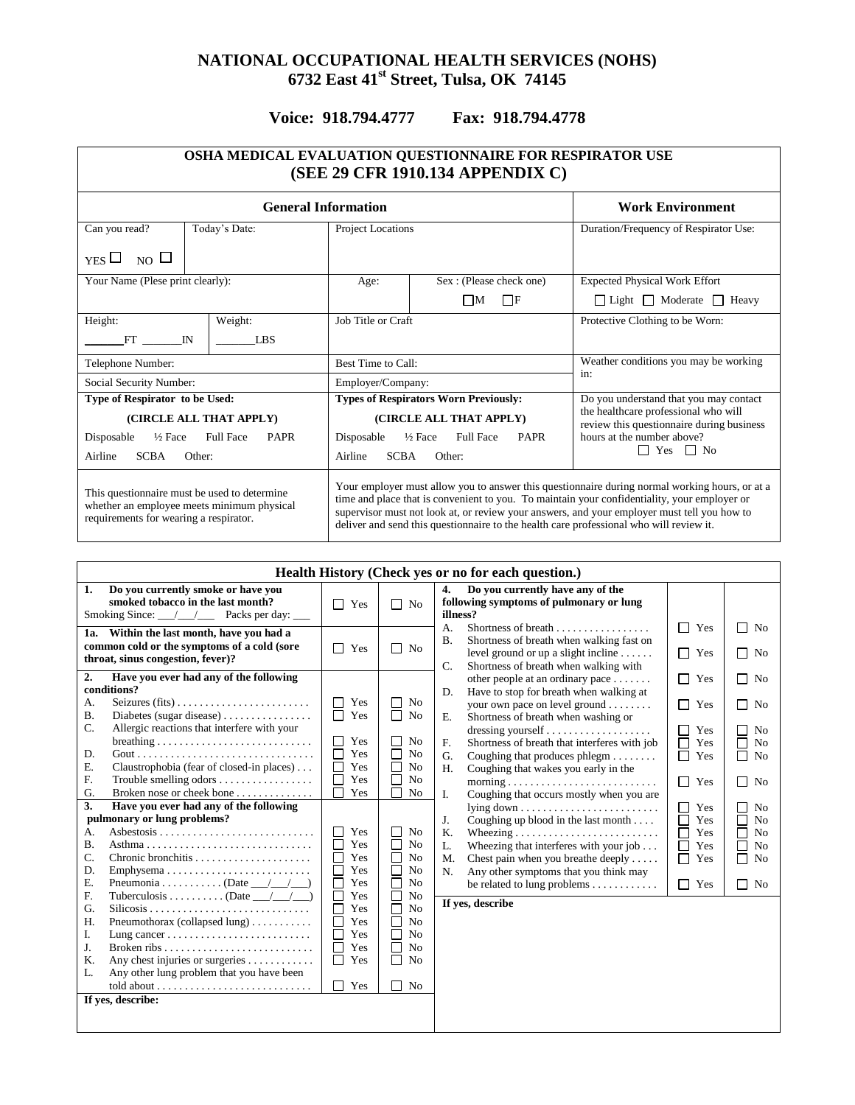## **NATIONAL OCCUPATIONAL HEALTH SERVICES (NOHS) 6732 East 41 st Street, Tulsa, OK 74145**

## **Voice: 918.794.4777 Fax: 918.794.4778**

| OSHA MEDICAL EVALUATION QUESTIONNAIRE FOR RESPIRATOR USE<br>(SEE 29 CFR 1910.134 APPENDIX C)                                         |                                                                                                                                                                                                                                                                                                                                                                                          |                                                                                   |  |  |  |  |  |
|--------------------------------------------------------------------------------------------------------------------------------------|------------------------------------------------------------------------------------------------------------------------------------------------------------------------------------------------------------------------------------------------------------------------------------------------------------------------------------------------------------------------------------------|-----------------------------------------------------------------------------------|--|--|--|--|--|
| <b>General Information</b><br><b>Work Environment</b>                                                                                |                                                                                                                                                                                                                                                                                                                                                                                          |                                                                                   |  |  |  |  |  |
| Can you read?<br>Today's Date:                                                                                                       | Project Locations                                                                                                                                                                                                                                                                                                                                                                        | Duration/Frequency of Respirator Use:                                             |  |  |  |  |  |
| NO $\Box$<br>$YES$ $\Box$                                                                                                            |                                                                                                                                                                                                                                                                                                                                                                                          |                                                                                   |  |  |  |  |  |
| Your Name (Plese print clearly):                                                                                                     | Sex: (Please check one)<br>Age:                                                                                                                                                                                                                                                                                                                                                          | <b>Expected Physical Work Effort</b>                                              |  |  |  |  |  |
|                                                                                                                                      | $\Box$ M<br>$\Box$ f                                                                                                                                                                                                                                                                                                                                                                     | $\Box$ Light $\Box$ Moderate $\Box$ Heavy                                         |  |  |  |  |  |
| Weight:<br>Height:                                                                                                                   | Job Title or Craft                                                                                                                                                                                                                                                                                                                                                                       | Protective Clothing to be Worn:                                                   |  |  |  |  |  |
| FT<br><b>LBS</b><br>$_{\rm IN}$                                                                                                      |                                                                                                                                                                                                                                                                                                                                                                                          |                                                                                   |  |  |  |  |  |
| Telephone Number:                                                                                                                    | Best Time to Call:                                                                                                                                                                                                                                                                                                                                                                       | Weather conditions you may be working                                             |  |  |  |  |  |
| Social Security Number:                                                                                                              | Employer/Company:                                                                                                                                                                                                                                                                                                                                                                        | in:                                                                               |  |  |  |  |  |
| Type of Respirator to be Used:                                                                                                       | <b>Types of Respirators Worn Previously:</b>                                                                                                                                                                                                                                                                                                                                             | Do you understand that you may contact                                            |  |  |  |  |  |
| (CIRCLE ALL THAT APPLY)                                                                                                              | (CIRCLE ALL THAT APPLY)                                                                                                                                                                                                                                                                                                                                                                  | the healthcare professional who will<br>review this questionnaire during business |  |  |  |  |  |
| Disposable<br>$\frac{1}{2}$ Face<br><b>Full Face</b><br><b>PAPR</b>                                                                  | Disposable<br>$\frac{1}{2}$ Face<br><b>Full Face</b><br><b>PAPR</b>                                                                                                                                                                                                                                                                                                                      | hours at the number above?                                                        |  |  |  |  |  |
| <b>SCBA</b><br>Airline<br>Other:                                                                                                     | <b>SCBA</b><br>Airline<br>Other:                                                                                                                                                                                                                                                                                                                                                         | $\Box$ Yes $\Box$ No                                                              |  |  |  |  |  |
| This questionnaire must be used to determine<br>whether an employee meets minimum physical<br>requirements for wearing a respirator. | Your employer must allow you to answer this questionnaire during normal working hours, or at a<br>time and place that is convenient to you. To maintain your confidentiality, your employer or<br>supervisor must not look at, or review your answers, and your employer must tell you how to<br>deliver and send this questionnaire to the health care professional who will review it. |                                                                                   |  |  |  |  |  |

| Health History (Check yes or no for each question.)                                                                                                                                                                                                                                                                                                                                            |                                                                                                                                    |                                                                                                                                                                                                                                      |                                                                                                                                                                                                                                                                                                                                                                                             |                                                                             |                                                                                                                              |
|------------------------------------------------------------------------------------------------------------------------------------------------------------------------------------------------------------------------------------------------------------------------------------------------------------------------------------------------------------------------------------------------|------------------------------------------------------------------------------------------------------------------------------------|--------------------------------------------------------------------------------------------------------------------------------------------------------------------------------------------------------------------------------------|---------------------------------------------------------------------------------------------------------------------------------------------------------------------------------------------------------------------------------------------------------------------------------------------------------------------------------------------------------------------------------------------|-----------------------------------------------------------------------------|------------------------------------------------------------------------------------------------------------------------------|
| Do you currently smoke or have you<br>1.<br>smoked tobacco in the last month?<br>Smoking Since: __/__/___ Packs per day: ___                                                                                                                                                                                                                                                                   | П<br>Yes                                                                                                                           | $\Box$ No                                                                                                                                                                                                                            | Do you currently have any of the<br>4.<br>following symptoms of pulmonary or lung<br>illness?                                                                                                                                                                                                                                                                                               |                                                                             |                                                                                                                              |
| 1a. Within the last month, have you had a<br>common cold or the symptoms of a cold (sore<br>throat, sinus congestion, fever)?                                                                                                                                                                                                                                                                  | П<br>Yes                                                                                                                           | $\Box$ No                                                                                                                                                                                                                            | Shortness of breath<br>$\mathsf{A}$ .<br>Shortness of breath when walking fast on<br><b>B.</b><br>level ground or up a slight incline $\dots$ .<br>Shortness of breath when walking with<br>$\mathbf{C}$ .                                                                                                                                                                                  | П<br>Yes<br>П<br>Yes                                                        | N <sub>0</sub><br>$\sim$<br>П<br>No                                                                                          |
| 2.<br>Have you ever had any of the following<br>conditions?<br>А.<br><b>B.</b><br>C.<br>Allergic reactions that interfere with your<br>$breating \ldots \ldots \ldots \ldots \ldots \ldots \ldots \ldots \ldots$<br>D.<br>Claustrophobia (fear of closed-in places)<br>Ε.<br>F.<br>Trouble smelling odors $\dots \dots \dots \dots \dots$<br>Broken nose or cheek bone<br>G.                   | Yes<br>П<br>П<br>Yes<br>Yes<br>$\Box$<br>П<br>Yes<br>П<br>Yes<br>Yes<br>Г<br>Yes                                                   | No<br>$\Box$ No<br>N <sub>o</sub><br>N <sub>o</sub><br>N <sub>o</sub><br>No<br>No                                                                                                                                                    | other people at an ordinary pace $\dots\dots$<br>Have to stop for breath when walking at<br>D.<br>your own pace on level ground<br>Shortness of breath when washing or<br>E.<br>Shortness of breath that interferes with job<br>F.<br>Coughing that produces $phlegm$<br>G.<br>Coughing that wakes you early in the<br>H.                                                                   | П<br>Yes<br>П<br>Yes<br>П<br>Yes<br>$\Box$<br>Yes<br>□<br>Yes<br>П<br>Yes   | $\Box$ No<br>П<br>No<br>No<br>П<br>N <sub>o</sub><br>П<br>N <sub>o</sub><br>N <sub>0</sub><br>П                              |
| Have you ever had any of the following<br>3.<br>pulmonary or lung problems?<br>А.<br><b>B.</b><br>C.<br>Emphysema<br>D.<br>Pneumonia (Date $\_\_\_\_\_\_\_\_\$<br>Ε.<br>Tuberculosis (Date $\_\_\_\_\_\_\_\_\$<br>F.<br>G.<br>Pneumothorax (collapsed lung)<br>H.<br>I.<br>J.<br>Any chest injuries or surgeries<br>K.<br>Any other lung problem that you have been<br>L.<br>If yes, describe: | Yes<br>П<br>Yes<br>П<br>Yes<br>П<br>Yes<br>Г<br>Yes<br>П<br>Yes<br>П<br>Yes<br>П<br>Yes<br>П<br>Yes<br>П<br>Yes<br>П<br>Yes<br>Yes | N <sub>o</sub><br>П<br>П<br>N <sub>o</sub><br>$\Box$<br>N <sub>o</sub><br>$\Box$<br>N <sub>0</sub><br>No<br>No<br>$\Box$<br>$\Box$<br>No<br>□<br>No<br>П<br>N <sub>o</sub><br>П<br>N <sub>o</sub><br>N <sub>o</sub><br>П<br>No<br>ΙI | Coughing that occurs mostly when you are<br>I.<br>$lying down \dots \dots \dots \dots \dots \dots \dots \dots$<br>J.<br>Coughing up blood in the last month<br>K.<br>Wheezing that interferes with your job $\dots$<br>L.<br>Chest pain when you breathe deeply<br>M.<br>Any other symptoms that you think may<br>N.<br>be related to lung problems $\dots \dots \dots$<br>If yes, describe | П<br>Yes<br>П<br>Yes<br>$\Box$<br>Yes<br>□<br>Yes<br>П<br>Yes<br>$\Box$ Yes | N <sub>o</sub><br>L<br>N <sub>o</sub><br>Г<br>N <sub>0</sub><br>Г<br>N <sub>0</sub><br>Г<br>П<br>N <sub>0</sub><br>$\Box$ No |
|                                                                                                                                                                                                                                                                                                                                                                                                |                                                                                                                                    |                                                                                                                                                                                                                                      |                                                                                                                                                                                                                                                                                                                                                                                             |                                                                             |                                                                                                                              |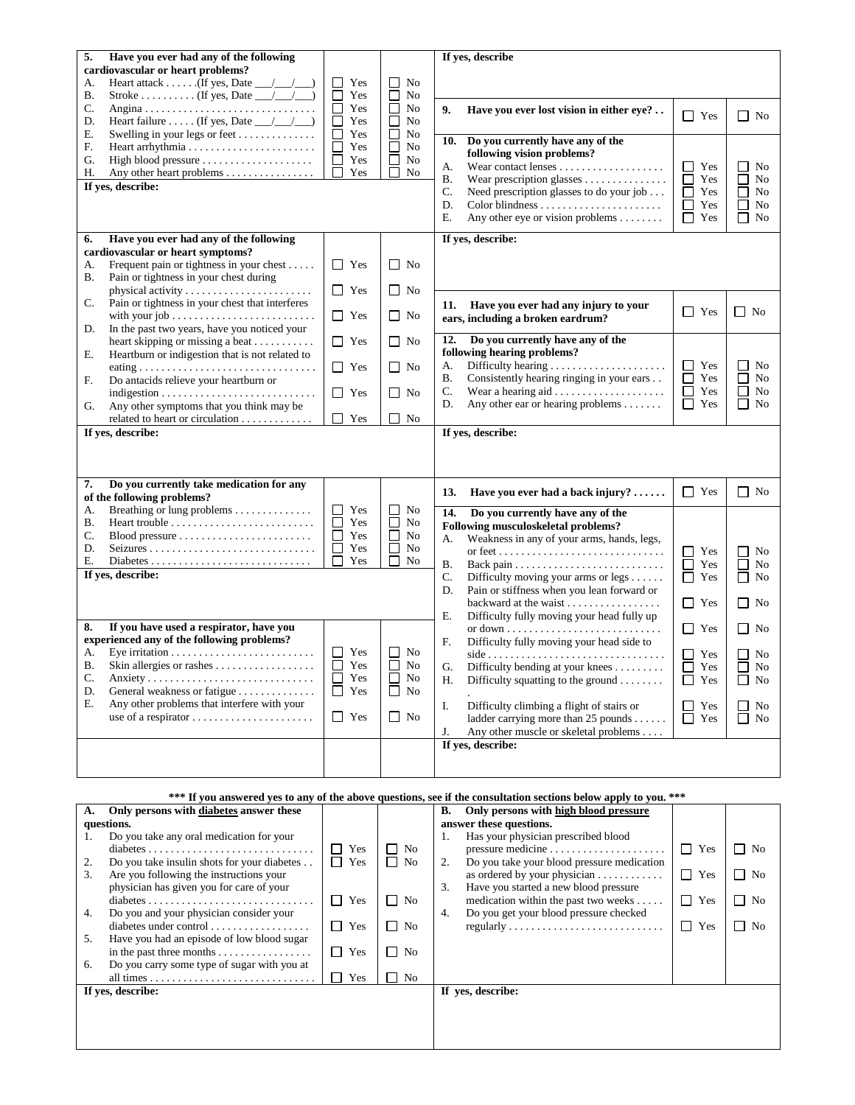| 5.<br>Have you ever had any of the following                                      |                      |              | If yes, describe                                                                                                      |                      |                    |
|-----------------------------------------------------------------------------------|----------------------|--------------|-----------------------------------------------------------------------------------------------------------------------|----------------------|--------------------|
| cardiovascular or heart problems?                                                 |                      |              |                                                                                                                       |                      |                    |
| Heart attack (If yes, Date $\_\_\_\_\_\_\_\_\$<br>А.                              | ⊔<br>Yes             | No           |                                                                                                                       |                      |                    |
| Stroke (If yes, Date $\_\_\_\_\_\_\_\_\$<br>В.                                    | $\Box$<br>Yes        | No           |                                                                                                                       |                      |                    |
| C.<br>Heart failure (If yes, Date $\_\_\_\_\_\_\_\_\$<br>D.                       | $\Box$<br>Yes<br>Yes | No<br>No     | 9.<br>Have you ever lost vision in either eye?                                                                        | $\Box$ Yes           | $\Box$ No          |
| Ε.<br>Swelling in your legs or feet                                               | Yes                  | No           |                                                                                                                       |                      |                    |
| F.                                                                                | Yes                  | No           | Do you currently have any of the<br>10.                                                                               |                      |                    |
| G.                                                                                | Yes                  | No           | following vision problems?                                                                                            |                      |                    |
| Н.<br>Any other heart problems $\dots \dots \dots \dots$                          | Yes                  | No           | А.                                                                                                                    | ⊔<br>Yes             | No                 |
| If yes, describe:                                                                 |                      |              | Wear prescription glasses<br>Β.<br>C.<br>Need prescription glasses to do your job                                     | П<br>Yes<br>□<br>Yes | No<br>П<br>No      |
|                                                                                   |                      |              | D.                                                                                                                    | Yes<br>ப             | No                 |
|                                                                                   |                      |              | Ε.<br>Any other eye or vision problems $\dots\dots$                                                                   | $\Box$ Yes           | No<br>$\perp$      |
|                                                                                   |                      |              |                                                                                                                       |                      |                    |
| Have you ever had any of the following<br>6.<br>cardiovascular or heart symptoms? |                      |              | If yes, describe:                                                                                                     |                      |                    |
| Frequent pain or tightness in your chest<br>А.                                    | ப<br>Yes             | $\Box$ No    |                                                                                                                       |                      |                    |
| В.<br>Pain or tightness in your chest during                                      |                      |              |                                                                                                                       |                      |                    |
|                                                                                   | $\Box$ Yes           | $\Box$ No    |                                                                                                                       |                      |                    |
| Pain or tightness in your chest that interferes<br>C.                             |                      |              | Have you ever had any injury to your<br>11.                                                                           |                      |                    |
|                                                                                   | $\Box$ Yes           | $\Box$ No    | ears, including a broken eardrum?                                                                                     | $\Box$ Yes           | $\Box$ No          |
| In the past two years, have you noticed your<br>D.                                |                      |              |                                                                                                                       |                      |                    |
| heart skipping or missing a beat                                                  | $\Box$ Yes           | $\Box$ No    | Do you currently have any of the<br>12.<br>following hearing problems?                                                |                      |                    |
| Е.<br>Heartburn or indigestion that is not related to                             | $\Box$ Yes           | $\Box$ No    | А.                                                                                                                    | ப<br>Yes             | No                 |
| F.<br>Do antacids relieve your heartburn or                                       |                      |              | Β.<br>Consistently hearing ringing in your ears                                                                       | П<br>Yes             | No                 |
|                                                                                   | $\Box$ Yes           | $\Box$ No    | C.<br>Wear a hearing aid $\ldots \ldots \ldots \ldots \ldots$                                                         | $\Box$<br>Yes        | $\Box$<br>No       |
| Any other symptoms that you think may be<br>G.                                    |                      |              | Any other ear or hearing problems $\dots\dots$<br>D.                                                                  | $\Box$ Yes           | No<br>$\mathsf{L}$ |
| related to heart or circulation                                                   | П<br>Yes             | $\Box$ No    |                                                                                                                       |                      |                    |
| If yes, describe:                                                                 |                      |              | If yes, describe:                                                                                                     |                      |                    |
|                                                                                   |                      |              |                                                                                                                       |                      |                    |
|                                                                                   |                      |              |                                                                                                                       |                      |                    |
| Do you currently take medication for any<br>7.                                    |                      |              |                                                                                                                       |                      |                    |
| of the following problems?                                                        |                      |              | Have you ever had a back injury?<br>13.                                                                               | $\Box$ Yes           | $\Box$ No          |
| Breathing or lung problems<br>А.                                                  | $\Box$<br>Yes        | ப<br>No      | Do you currently have any of the<br>14.                                                                               |                      |                    |
| В.                                                                                | $\Box$<br>Yes        | No           | Following musculoskeletal problems?                                                                                   |                      |                    |
| C.<br>$\text{ Blood pressure} \dots \dots \dots \dots \dots \dots \dots \dots$    | $\Box$<br>Yes        | No           | Weakness in any of your arms, hands, legs,<br>А.                                                                      |                      |                    |
| D.                                                                                | Yes<br>$\Box$        | No<br>$\Box$ |                                                                                                                       | ப<br>Yes             | No                 |
| Е.<br>If yes, describe:                                                           | Yes                  | No           | Β.                                                                                                                    | □<br>Yes             | No                 |
|                                                                                   |                      |              | C.<br>Difficulty moving your arms or legs $\dots$ .                                                                   | $\Box$ Yes           | U<br>No            |
|                                                                                   |                      |              | Pain or stiffness when you lean forward or<br>D.                                                                      |                      |                    |
|                                                                                   |                      |              | backward at the waist<br>Difficulty fully moving your head fully up<br>Е.                                             | $\Box$ Yes           | $\Box$ No          |
| If you have used a respirator, have you<br>8.                                     |                      |              |                                                                                                                       | $\blacksquare$ Yes   | $\Box$<br>No       |
| experienced any of the following problems?                                        |                      |              | F.<br>Difficulty fully moving your head side to                                                                       |                      |                    |
| A.                                                                                | □<br>Yes             | No           | $side \ldots \ldots \ldots \ldots \ldots \ldots \ldots \ldots \ldots \ldots$                                          | $\perp$<br>Yes       | No                 |
| В.                                                                                |                      |              |                                                                                                                       |                      |                    |
| C.<br>Anxiety                                                                     | $\Box$<br>Yes        | $\Box$<br>No | G.<br>Difficulty bending at your knees                                                                                | П<br>Yes             | No                 |
|                                                                                   | $\Box$<br>Yes        | No<br>ப      | Difficulty squatting to the ground $\dots\dots$<br>Н.                                                                 | $\Box$ Yes           | $\Box$ No          |
| D.<br>General weakness or fatigue                                                 | Yes<br>⊔             | No<br>ΙI     |                                                                                                                       |                      |                    |
| Any other problems that interfere with your<br>Е.                                 |                      |              | Difficulty climbing a flight of stairs or<br>I.                                                                       | П<br>Yes             | No.                |
| use of a respirator $\dots \dots \dots \dots \dots \dots$                         | $\Box$ Yes           | $\Box$ No    | ladder carrying more than 25 pounds                                                                                   | $\Box$ Yes           | No                 |
|                                                                                   |                      |              | Any other muscle or skeletal problems<br>J.                                                                           |                      |                    |
|                                                                                   |                      |              | If yes, describe:                                                                                                     |                      |                    |
|                                                                                   |                      |              |                                                                                                                       |                      |                    |
|                                                                                   |                      |              |                                                                                                                       |                      |                    |
| А.                                                                                |                      |              | *** If you answered yes to any of the above questions, see if the consultation sections below apply to you. ***<br>В. |                      |                    |
| Only persons with diabetes answer these<br>questions.                             |                      |              | Only persons with high blood pressure<br>answer these questions.                                                      |                      |                    |

|    | only persons when anisocies answer incse           |              |                     | omy persons when men slood pressure                 |                     |           |
|----|----------------------------------------------------|--------------|---------------------|-----------------------------------------------------|---------------------|-----------|
|    | questions.                                         |              |                     | answer these questions.                             |                     |           |
|    | Do you take any oral medication for your           |              |                     | Has your physician prescribed blood                 |                     |           |
|    |                                                    | $\Box$ Yes   | $\Box$ No           |                                                     | $\Box$ Yes          | $\Box$ No |
| 2. | Do you take insulin shots for your diabetes        | $\Gamma$ Yes | No.<br>$\mathsf{L}$ | Do you take your blood pressure medication          |                     |           |
| 3. | Are you following the instructions your            |              |                     | as ordered by your physician $\dots\dots\dots\dots$ | $\Box$<br>Yes       | $\Box$ No |
|    | physician has given you for care of your           |              |                     | Have you started a new blood pressure<br>3.         |                     |           |
|    |                                                    | $\Gamma$ Yes | $\Box$ No           | medication within the past two weeks                | $\mathsf{L}$<br>Yes | No<br>П   |
| 4. | Do you and your physician consider your            |              |                     | Do you get your blood pressure checked<br>4.        |                     |           |
|    | diabetes under control                             | $\Box$ Yes   | П<br>No             |                                                     | Yes<br>l 1          | No<br>П   |
| 5. | Have you had an episode of low blood sugar         |              |                     |                                                     |                     |           |
|    | in the past three months $\dots \dots \dots \dots$ | $\Gamma$ Yes | No<br>П             |                                                     |                     |           |
| 6. | Do you carry some type of sugar with you at        |              |                     |                                                     |                     |           |
|    |                                                    | $\Box$ Yes   | No.<br>$\Box$       |                                                     |                     |           |
|    | If yes, describe:                                  |              |                     | If yes, describe:                                   |                     |           |
|    |                                                    |              |                     |                                                     |                     |           |
|    |                                                    |              |                     |                                                     |                     |           |
|    |                                                    |              |                     |                                                     |                     |           |
|    |                                                    |              |                     |                                                     |                     |           |